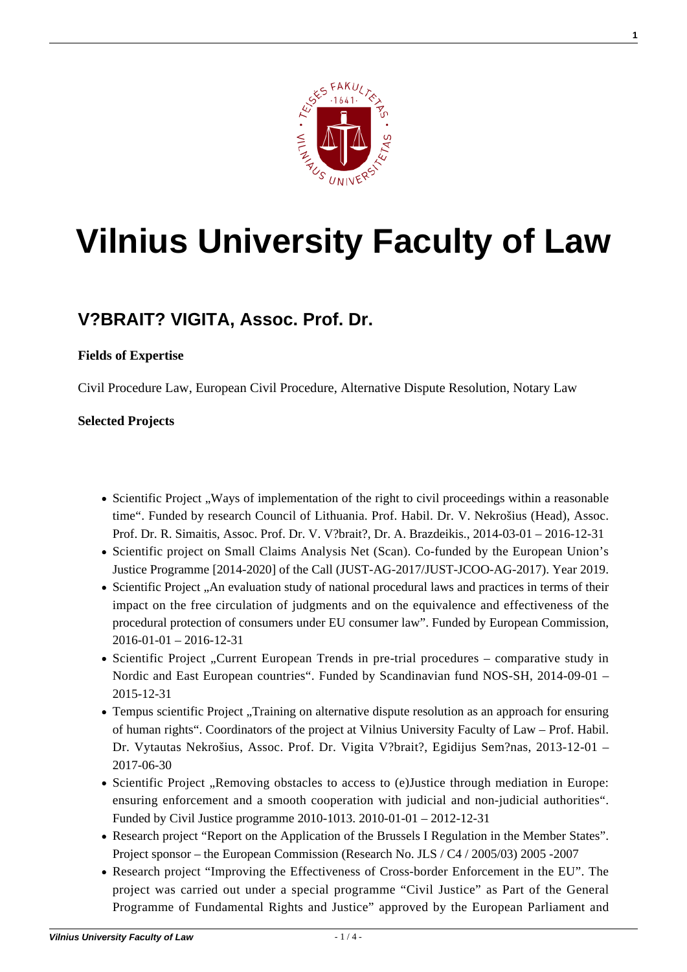

**1**

# **[Vilnius University Faculty of Law](https://www.tf.vu.lt/)**

## **[V?BRAIT? VIGITA, Assoc. Prof. Dr.](https://www.tf.vu.lt/about_us/scientists-and-academics/vebraite-vigita-assoc-prof-dr/)**

#### **Fields of Expertise**

Civil Procedure Law, European Civil Procedure, Alternative Dispute Resolution, Notary Law

#### **Selected Projects**

- Scientific Project , Ways of implementation of the right to civil proceedings within a reasonable time". Funded by research Council of Lithuania. Prof. Habil. Dr. V. Nekrošius (Head), Assoc. Prof. Dr. R. Simaitis, Assoc. Prof. Dr. V. V?brait?, Dr. A. Brazdeikis., 2014-03-01 – 2016-12-31
- Scientific project on Small Claims Analysis Net [\(Scan\)](http://www.scanproject.eu/). Co-funded by the European Union's Justice Programme [2014-2020] of the Call (JUST-AG-2017/JUST-JCOO-AG-2017). Year 2019.
- [Scientific Project "An evaluation study of national procedural laws and practices in terms of their](https://publications.europa.eu/en/publication-detail/-/publication/531ef49a-9768-11e7-b92d-01aa75ed71a1/language-en) [impact on the free circulation of judgments and on the equivalence and effectiveness of the](https://publications.europa.eu/en/publication-detail/-/publication/531ef49a-9768-11e7-b92d-01aa75ed71a1/language-en) [procedural protection of consumers under EU consumer law". Funded by European Commission,](https://publications.europa.eu/en/publication-detail/-/publication/531ef49a-9768-11e7-b92d-01aa75ed71a1/language-en)  $2016-01-01 - 2016-12-31$
- Scientific Project "Current European Trends in pre-trial procedures comparative study in Nordic and East European countries". Funded by Scandinavian fund NOS-SH, 2014-09-01 – 2015-12-31
- Tempus scientific Project "Training on alternative dispute resolution as an approach for ensuring of human rights". Coordinators of the project at Vilnius University Faculty of Law – Prof. Habil. Dr. Vytautas Nekrošius, Assoc. Prof. Dr. Vigita V?brait?, Egidijus Sem?nas, 2013-12-01 – 2017-06-30
- Scientific Project "Removing obstacles to access to (e)Justice through mediation in Europe: ensuring enforcement and a smooth cooperation with judicial and non-judicial authorities". Funded by Civil Justice programme 2010-1013. 2010-01-01 – 2012-12-31
- Research project "Report on the Application of the Brussels I Regulation in the Member States". Project sponsor – the European Commission (Research No. JLS / C4 / 2005/03) 2005 -2007
- Research project "Improving the Effectiveness of Cross-border Enforcement in the EU". The project was carried out under a special programme "Civil Justice" as Part of the General Programme of Fundamental Rights and Justice" approved by the European Parliament and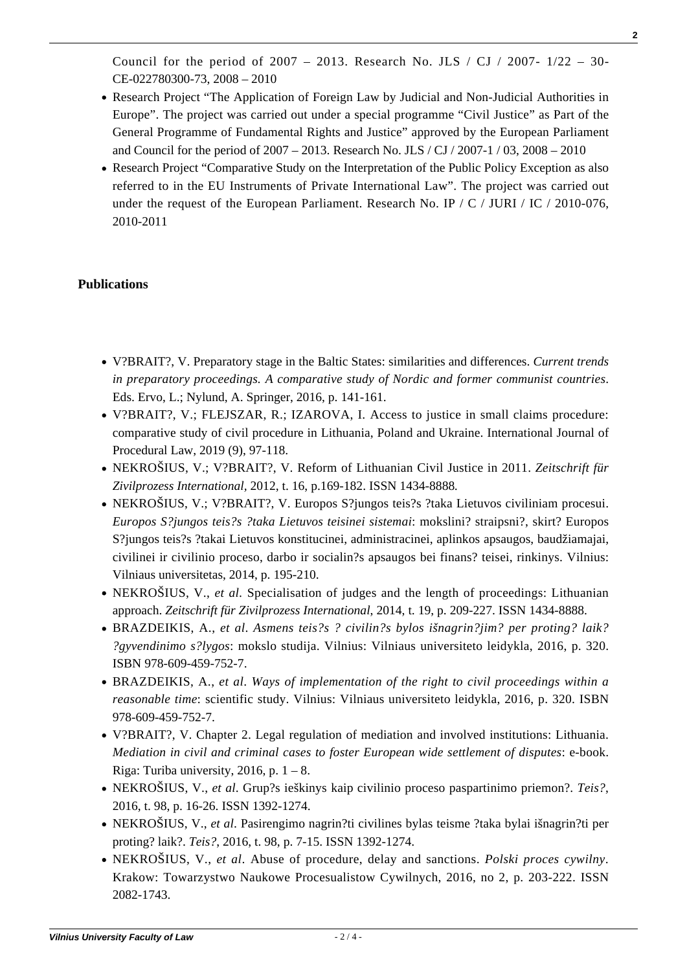Council for the period of 2007 – 2013. Research No. JLS / CJ / 2007-  $1/22 - 30$ -CE-022780300-73, 2008 – 2010

- Research Project "The Application of Foreign Law by Judicial and Non-Judicial Authorities in Europe". The project was carried out under a special programme "Civil Justice" as Part of the General Programme of Fundamental Rights and Justice" approved by the European Parliament and Council for the period of 2007 – 2013. Research No. JLS / CJ / 2007-1 / 03, 2008 – 2010
- Research Project "Comparative Study on the Interpretation of the Public Policy Exception as also referred to in the EU Instruments of Private International Law". The project was carried out under the request of the European Parliament. Research No. IP /  $C$  / JURI / IC / 2010-076, 2010-2011

### **Publications**

- V?BRAIT?, V. Preparatory stage in the Baltic States: similarities and differences. *Current trends in preparatory proceedings. A comparative study of Nordic and former communist countries*. Eds. Ervo, L.; Nylund, A. Springer, 2016, p. 141-161.
- V?BRAIT?, V.; FLEJSZAR, R.; IZAROVA, I. Access to justice in small claims procedure: comparative study of civil procedure in Lithuania, Poland and Ukraine. International Journal of Procedural Law, 2019 (9), [97-118.](http://www.tf.vu.lt/wp-content/uploads/2016/12/IJPL_2019_1_Flejszar-Izarova-and-Vebraite.pdf)
- NEKROŠIUS, V.; V?BRAIT?, V. Reform of Lithuanian Civil Justice in 2011. *Zeitschrift für Zivilprozess International,* 2012, t. 16, p.169-182. ISSN 1434-8888*.*
- NEKROŠIUS, V.; V?BRAIT?, V. Europos S?jungos teis?s ?taka Lietuvos civiliniam procesui. *Europos S?jungos teis?s ?taka Lietuvos teisinei sistemai*: mokslini? straipsni?, skirt? Europos S?jungos teis?s ?takai Lietuvos konstitucinei, administracinei, aplinkos apsaugos, baudžiamajai, civilinei ir civilinio proceso, darbo ir socialin?s apsaugos bei finans? teisei, rinkinys. Vilnius: Vilniaus universitetas, 2014, p. 195-210.
- NEKROŠIUS, V., *et al.* Specialisation of judges and the length of proceedings: Lithuanian approach. *Zeitschrift für Zivilprozess International*, 2014, t. 19, p. 209-227. ISSN 1434-8888.
- [BRAZDEIKIS, A.,](https://www.tf.vu.lt//wp-content/uploads/2017/01/Asmens_teises_bylos_el-lietuviu.pdf) *[et al](https://www.tf.vu.lt//wp-content/uploads/2017/01/Asmens_teises_bylos_el-lietuviu.pdf)*[.](https://www.tf.vu.lt//wp-content/uploads/2017/01/Asmens_teises_bylos_el-lietuviu.pdf) *[Asmens teis?s ? civilin?s bylos išnagrin?jim? per proting? laik?](https://www.tf.vu.lt//wp-content/uploads/2017/01/Asmens_teises_bylos_el-lietuviu.pdf) [?gyvendinimo s?lygos](https://www.tf.vu.lt//wp-content/uploads/2017/01/Asmens_teises_bylos_el-lietuviu.pdf)*[: mokslo studija. Vilnius: Vilniaus universiteto leidykla, 2016, p. 320.](https://www.tf.vu.lt//wp-content/uploads/2017/01/Asmens_teises_bylos_el-lietuviu.pdf) [ISBN 978-609-459-752-7.](https://www.tf.vu.lt//wp-content/uploads/2017/01/Asmens_teises_bylos_el-lietuviu.pdf)
- [BRAZDEIKIS, A.,](https://www.tf.vu.lt//wp-content/uploads/2017/01/Ways-of-implementation-of-the-Right-to-Civil-Proceedings-within-a-Reasonable-Time.pdf) *[et al](https://www.tf.vu.lt//wp-content/uploads/2017/01/Ways-of-implementation-of-the-Right-to-Civil-Proceedings-within-a-Reasonable-Time.pdf)*[.](https://www.tf.vu.lt//wp-content/uploads/2017/01/Ways-of-implementation-of-the-Right-to-Civil-Proceedings-within-a-Reasonable-Time.pdf) *[Ways of implementation of the right to civil proceedings within a](https://www.tf.vu.lt//wp-content/uploads/2017/01/Ways-of-implementation-of-the-Right-to-Civil-Proceedings-within-a-Reasonable-Time.pdf) [reasonable time](https://www.tf.vu.lt//wp-content/uploads/2017/01/Ways-of-implementation-of-the-Right-to-Civil-Proceedings-within-a-Reasonable-Time.pdf)*[: scientific study. Vilnius: Vilniaus universiteto leidykla, 2016, p. 320. ISBN](https://www.tf.vu.lt//wp-content/uploads/2017/01/Ways-of-implementation-of-the-Right-to-Civil-Proceedings-within-a-Reasonable-Time.pdf) [978-609-459-752-7.](https://www.tf.vu.lt//wp-content/uploads/2017/01/Ways-of-implementation-of-the-Right-to-Civil-Proceedings-within-a-Reasonable-Time.pdf)
- [V?BRAIT?, V. Chapter 2. Legal regulation of mediation and involved institutions: Lithuania.](http://mediation.turiba.lv/saturs/Chapter%202.pdf) *[Mediation in civil and criminal cases to foster European wide settlement of disputes](http://mediation.turiba.lv/saturs/Chapter%202.pdf)*[: e-book.](http://mediation.turiba.lv/saturs/Chapter%202.pdf) Riga: Turiba university, 2016, p.  $1 - 8$ .
- [NEKROŠIUS, V.,](http://www.zurnalai.vu.lt/teise/article/view/9966/7974) *[et al](http://www.zurnalai.vu.lt/teise/article/view/9966/7974)*[. Grup?s ieškinys kaip civilinio proceso paspartinimo priemon?.](http://www.zurnalai.vu.lt/teise/article/view/9966/7974) *[Teis?](http://www.zurnalai.vu.lt/teise/article/view/9966/7974)*[,](http://www.zurnalai.vu.lt/teise/article/view/9966/7974) [2016, t. 98, p. 16-26. ISSN 1392-1274.](http://www.zurnalai.vu.lt/teise/article/view/9966/7974)
- [NEKROŠIUS, V.,](http://www.zurnalai.vu.lt/teise/article/viewFile/9965/7973) *[et al](http://www.zurnalai.vu.lt/teise/article/viewFile/9965/7973)*[. Pasirengimo nagrin?ti civilines bylas teisme ?taka bylai išnagrin?ti per](http://www.zurnalai.vu.lt/teise/article/viewFile/9965/7973) [proting? laik?.](http://www.zurnalai.vu.lt/teise/article/viewFile/9965/7973) *[Teis?](http://www.zurnalai.vu.lt/teise/article/viewFile/9965/7973)*[, 2016, t. 98, p. 7-15. ISSN 1392-1274.](http://www.zurnalai.vu.lt/teise/article/viewFile/9965/7973)
- NEKROŠIUS, V., *et al*. Abuse of procedure, delay and sanctions. *Polski proces cywilny*. Krakow: Towarzystwo Naukowe Procesualistow Cywilnych, 2016, no 2, p. 203-222. ISSN 2082-1743.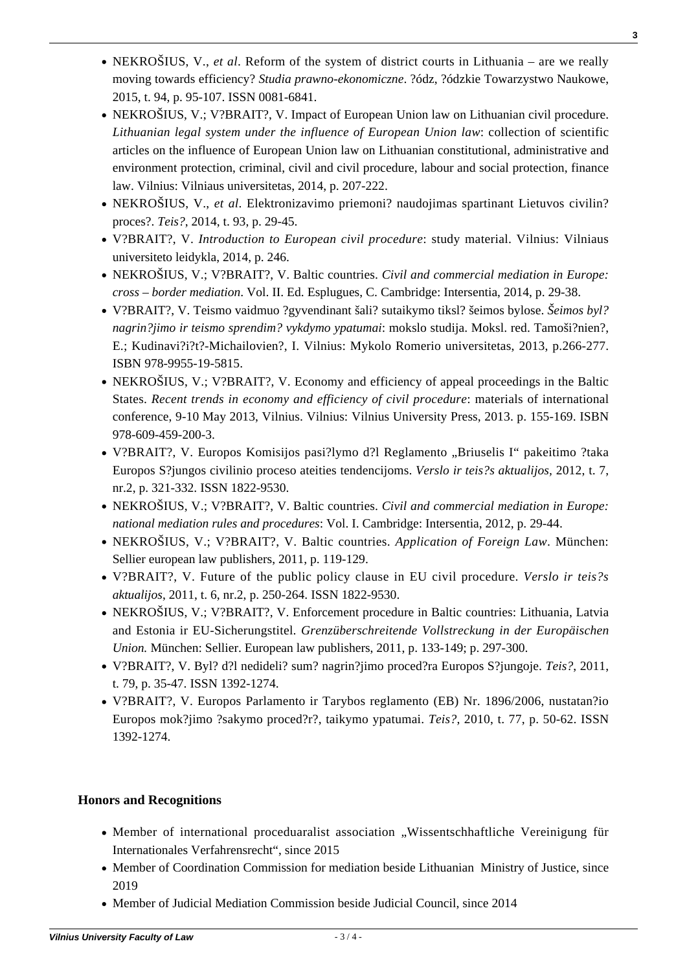NEKROŠIUS, V.; V?BRAIT?, V. Baltic countries. *Civil and commercial mediation in Europe:*

nr.2, p. 321-332. ISSN 1822-9530.

[2015, t. 94, p. 95-107. ISSN 0081-6841.](http://cejsh.icm.edu.pl/cejsh/element/bwmeta1.element.desklight-2708f842-b801-4a1d-b8a8-25875fd6ad08/c/06_Nekriokus.pdf)

[proces?.](http://www.zurnalai.vu.lt/teise/article/view/5074/5219) *[Teis?](http://www.zurnalai.vu.lt/teise/article/view/5074/5219)*[, 2014, t. 93, p. 29-45.](http://www.zurnalai.vu.lt/teise/article/view/5074/5219)

universiteto leidykla, 2014, p. 246.

ISBN 978-9955-19-5815.

978-609-459-200-3.

law. Vilnius: Vilniaus universitetas, 2014, p. 207-222.

- *national mediation rules and procedures*: Vol. I. Cambridge: Intersentia, 2012, p. 29-44.
- NEKROŠIUS, V.; V?BRAIT?, V. Baltic countries. *Application of Foreign Law*. München: Sellier european law publishers, 2011, p. 119-129.

[NEKROŠIUS, V.,](http://cejsh.icm.edu.pl/cejsh/element/bwmeta1.element.desklight-2708f842-b801-4a1d-b8a8-25875fd6ad08/c/06_Nekriokus.pdf) *[et al](http://cejsh.icm.edu.pl/cejsh/element/bwmeta1.element.desklight-2708f842-b801-4a1d-b8a8-25875fd6ad08/c/06_Nekriokus.pdf)*[. Reform of the system of district courts in Lithuania – are we really](http://cejsh.icm.edu.pl/cejsh/element/bwmeta1.element.desklight-2708f842-b801-4a1d-b8a8-25875fd6ad08/c/06_Nekriokus.pdf) [moving towards efficiency?](http://cejsh.icm.edu.pl/cejsh/element/bwmeta1.element.desklight-2708f842-b801-4a1d-b8a8-25875fd6ad08/c/06_Nekriokus.pdf) *[Studia prawno-ekonomiczne](http://cejsh.icm.edu.pl/cejsh/element/bwmeta1.element.desklight-2708f842-b801-4a1d-b8a8-25875fd6ad08/c/06_Nekriokus.pdf)*[. ?ódz, ?ódzkie Towarzystwo Naukowe,](http://cejsh.icm.edu.pl/cejsh/element/bwmeta1.element.desklight-2708f842-b801-4a1d-b8a8-25875fd6ad08/c/06_Nekriokus.pdf)

• NEKROŠIUS, V.; V?BRAIT?, V. Impact of European Union law on Lithuanian civil procedure. *Lithuanian legal system under the influence of European Union law*: collection of scientific articles on the influence of European Union law on Lithuanian constitutional, administrative and environment protection, criminal, civil and civil procedure, labour and social protection, finance

[NEKROŠIUS, V.,](http://www.zurnalai.vu.lt/teise/article/view/5074/5219) *[et al](http://www.zurnalai.vu.lt/teise/article/view/5074/5219)*[. Elektronizavimo priemoni? naudojimas spartinant Lietuvos civilin?](http://www.zurnalai.vu.lt/teise/article/view/5074/5219)

V?BRAIT?, V. *Introduction to European civil procedure*: study material. Vilnius: Vilniaus

NEKROŠIUS, V.; V?BRAIT?, V. Baltic countries. *Civil and commercial mediation in Europe: cross – border mediation*. Vol. II. Ed. Esplugues, C. Cambridge: Intersentia, 2014, p. 29-38. V?BRAIT?, V. Teismo vaidmuo ?gyvendinant šali? sutaikymo tiksl? šeimos bylose. *Šeimos byl? nagrin?jimo ir teismo sprendim? vykdymo ypatumai*: mokslo studija. Moksl. red. Tamoši?nien?, E.; Kudinavi?i?t?-Michailovien?, I. Vilnius: Mykolo Romerio universitetas, 2013, p.266-277.

NEKROŠIUS, V.; V?BRAIT?, V. Economy and efficiency of appeal proceedings in the Baltic States. *Recent trends in economy and efficiency of civil procedure*: materials of international conference, 9-10 May 2013, Vilnius. Vilnius: Vilnius University Press, 2013. p. 155-169. ISBN

• V?BRAIT?, V. Europos Komisijos pasi?lymo d?l Reglamento "Briuselis I" pakeitimo ?taka Europos S?jungos civilinio proceso ateities tendencijoms. *Verslo ir teis?s aktualijos,* 2012, t. 7,

- V?BRAIT?, V. Future of the public policy clause in EU civil procedure. *Verslo ir teis?s aktualijos*, 2011, t. 6, nr.2, p. 250-264. ISSN 1822-9530.
- NEKROŠIUS, V.; V?BRAIT?, V. Enforcement procedure in Baltic countries: Lithuania, Latvia and Estonia ir EU-Sicherungstitel. *Grenzüberschreitende Vollstreckung in der Europäischen Union.* München: Sellier. European law publishers, 2011, p. 133-149; p. 297-300.
- [V?BRAIT?, V. Byl? d?l nedideli? sum? nagrin?jimo proced?ra Europos S?jungoje.](http://www.zurnalai.vu.lt/teise/article/view/169/131) *[Teis?](http://www.zurnalai.vu.lt/teise/article/view/169/131)*[, 2011,](http://www.zurnalai.vu.lt/teise/article/view/169/131) [t. 79, p. 35-47. ISSN 1392-1274.](http://www.zurnalai.vu.lt/teise/article/view/169/131)
- [V?BRAIT?, V. Europos Parlamento ir Tarybos reglamento \(EB\) Nr. 1896/2006, nustatan?io](http://www.zurnalai.vu.lt/teise/article/view/201/163) [Europos mok?jimo ?sakymo proced?r?, taikymo ypatumai.](http://www.zurnalai.vu.lt/teise/article/view/201/163) *[Teis?](http://www.zurnalai.vu.lt/teise/article/view/201/163)*[, 2010, t. 77, p. 50-62. ISSN](http://www.zurnalai.vu.lt/teise/article/view/201/163) [1392-1274.](http://www.zurnalai.vu.lt/teise/article/view/201/163)

#### **Honors and Recognitions**

- Member of international proceduaralist association . Wissentschhaftliche Vereinigung für Internationales Verfahrensrecht", since 2015
- Member of Coordination Commission for mediation beside Lithuanian Ministry of Justice, since 2019
- Member of Judicial Mediation Commission beside Judicial Council, since 2014